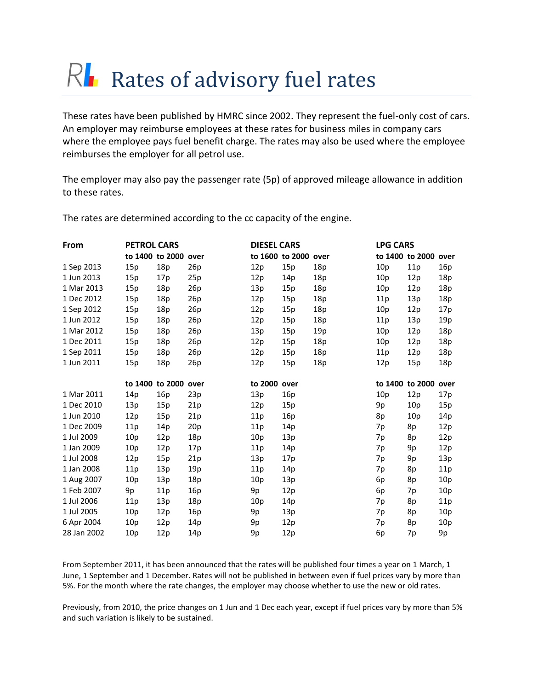## $R$  Rates of advisory fuel rates

These rates have been published by HMRC since 2002. They represent the fuel-only cost of cars. An employer may reimburse employees at these rates for business miles in company cars where the employee pays fuel benefit charge. The rates may also be used where the employee reimburses the employer for all petrol use.

The employer may also pay the passenger rate (5p) of approved mileage allowance in addition to these rates.

| From        | <b>PETROL CARS</b> |                 |      | <b>DIESEL CARS</b> |                 |      | <b>LPG CARS</b> |                 |      |
|-------------|--------------------|-----------------|------|--------------------|-----------------|------|-----------------|-----------------|------|
|             |                    | to 1400 to 2000 | over |                    | to 1600 to 2000 | over |                 | to 1400 to 2000 | over |
| 1 Sep 2013  | 15p                | 18p             | 26p  | 12p                | 15p             | 18p  | 10 <sub>p</sub> | 11p             | 16p  |
| 1 Jun 2013  | 15p                | 17p             | 25p  | 12p                | 14p             | 18p  | 10 <sub>p</sub> | 12p             | 18p  |
| 1 Mar 2013  | 15p                | 18p             | 26p  | 13p                | 15p             | 18p  | 10p             | 12p             | 18p  |
| 1 Dec 2012  | 15p                | 18p             | 26p  | 12p                | 15p             | 18p  | 11p             | 13p             | 18p  |
| 1 Sep 2012  | 15p                | 18p             | 26p  | 12p                | 15p             | 18p  | 10 <sub>p</sub> | 12p             | 17p  |
| 1 Jun 2012  | 15p                | 18p             | 26p  | 12p                | 15p             | 18p  | 11p             | 13p             | 19p  |
| 1 Mar 2012  | 15p                | 18p             | 26p  | 13p                | 15p             | 19p  | 10p             | 12p             | 18p  |
| 1 Dec 2011  | 15p                | 18p             | 26p  | 12p                | 15p             | 18p  | 10 <sub>p</sub> | 12p             | 18p  |
| 1 Sep 2011  | 15p                | 18p             | 26p  | 12p                | 15p             | 18p  | 11p             | 12p             | 18p  |
| 1 Jun 2011  | 15p                | 18p             | 26p  | 12p                | 15p             | 18p  | 12p             | 15p             | 18p  |
|             |                    | to 1400 to 2000 | over | to 2000            | over            |      |                 | to 1400 to 2000 | over |
| 1 Mar 2011  | 14p                | 16p             | 23p  | 13p                | 16p             |      | 10p             | 12p             | 17p  |
| 1 Dec 2010  | 13p                | 15p             | 21p  | 12p                | 15p             |      | 9p              | 10p             | 15p  |
| 1 Jun 2010  | 12p                | 15p             | 21p  | 11p                | 16p             |      | 8p              | 10p             | 14p  |
| 1 Dec 2009  | 11p                | 14p             | 20p  | 11p                | 14p             |      | 7p              | 8p              | 12p  |
| 1 Jul 2009  | 10p                | 12p             | 18p  | 10p                | 13p             |      | 7p              | 8p              | 12p  |
| 1 Jan 2009  | 10p                | 12p             | 17p  | 11p                | 14p             |      | 7p              | 9p              | 12p  |
| 1 Jul 2008  | 12p                | 15p             | 21p  | 13p                | 17p             |      | 7p              | 9p              | 13p  |
| 1 Jan 2008  | 11p                | 13p             | 19p  | 11p                | 14p             |      | 7p              | 8p              | 11p  |
| 1 Aug 2007  | 10p                | 13p             | 18p  | 10p                | 13p             |      | 6p              | 8p              | 10p  |
| 1 Feb 2007  | 9p                 | 11p             | 16p  | 9p                 | 12p             |      | 6p              | 7p              | 10p  |
| 1 Jul 2006  | 11p                | 13p             | 18p  | 10p                | 14p             |      | 7p              | 8p              | 11p  |
| 1 Jul 2005  | 10 <sub>p</sub>    | 12p             | 16p  | 9p                 | 13p             |      | 7p              | 8p              | 10p  |
| 6 Apr 2004  | 10p                | 12p             | 14p  | 9p                 | 12p             |      | 7p              | 8p              | 10p  |
| 28 Jan 2002 | 10p                | 12p             | 14p  | 9p                 | 12p             |      | 6p              | 7p              | 9p   |

The rates are determined according to the cc capacity of the engine.

From September 2011, it has been announced that the rates will be published four times a year on 1 March, 1 June, 1 September and 1 December. Rates will not be published in between even if fuel prices vary by more than 5%. For the month where the rate changes, the employer may choose whether to use the new or old rates.

Previously, from 2010, the price changes on 1 Jun and 1 Dec each year, except if fuel prices vary by more than 5% and such variation is likely to be sustained.